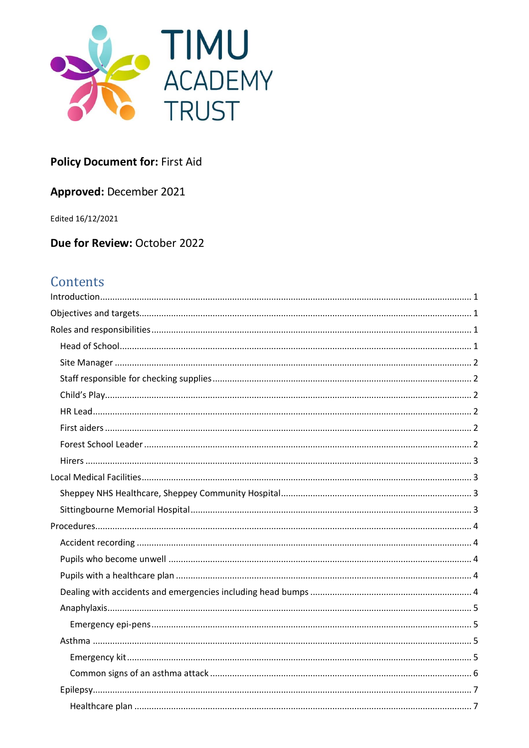

# **Policy Document for: First Aid**

# Approved: December 2021

Edited 16/12/2021

Due for Review: October 2022

# Contents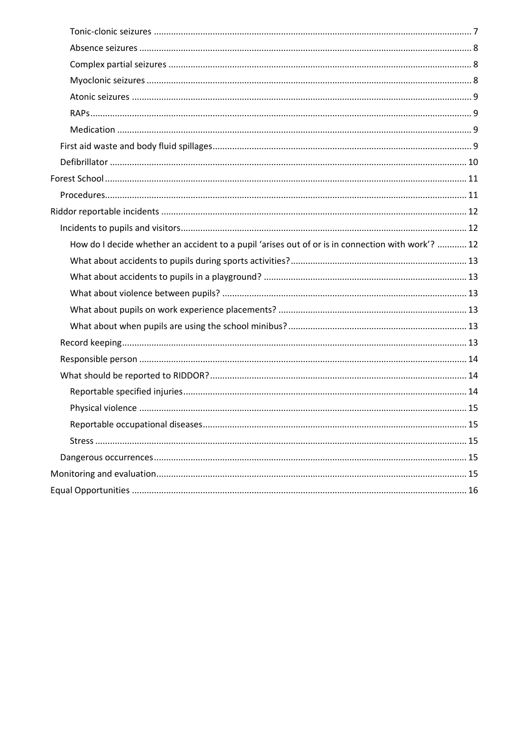| How do I decide whether an accident to a pupil 'arises out of or is in connection with work'?  12 |
|---------------------------------------------------------------------------------------------------|
|                                                                                                   |
|                                                                                                   |
|                                                                                                   |
|                                                                                                   |
|                                                                                                   |
|                                                                                                   |
|                                                                                                   |
|                                                                                                   |
|                                                                                                   |
|                                                                                                   |
|                                                                                                   |
|                                                                                                   |
|                                                                                                   |
|                                                                                                   |
|                                                                                                   |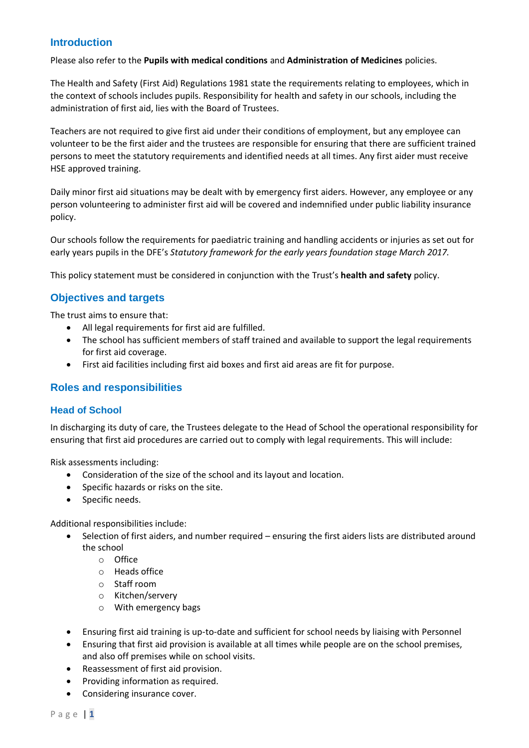# <span id="page-2-0"></span>**Introduction**

Please also refer to the **Pupils with medical conditions** and **Administration of Medicines** policies.

The Health and Safety (First Aid) Regulations 1981 state the requirements relating to employees, which in the context of schools includes pupils. Responsibility for health and safety in our schools, including the administration of first aid, lies with the Board of Trustees.

Teachers are not required to give first aid under their conditions of employment, but any employee can volunteer to be the first aider and the trustees are responsible for ensuring that there are sufficient trained persons to meet the statutory requirements and identified needs at all times. Any first aider must receive HSE approved training.

Daily minor first aid situations may be dealt with by emergency first aiders. However, any employee or any person volunteering to administer first aid will be covered and indemnified under public liability insurance policy.

Our schools follow the requirements for paediatric training and handling accidents or injuries as set out for early years pupils in the DFE's *Statutory framework for the early years foundation stage March 2017.*

This policy statement must be considered in conjunction with the Trust's **health and safety** policy.

# <span id="page-2-1"></span>**Objectives and targets**

The trust aims to ensure that:

- All legal requirements for first aid are fulfilled.
- The school has sufficient members of staff trained and available to support the legal requirements for first aid coverage.
- First aid facilities including first aid boxes and first aid areas are fit for purpose.

# <span id="page-2-2"></span>**Roles and responsibilities**

#### <span id="page-2-3"></span>**Head of School**

In discharging its duty of care, the Trustees delegate to the Head of School the operational responsibility for ensuring that first aid procedures are carried out to comply with legal requirements. This will include:

Risk assessments including:

- Consideration of the size of the school and its layout and location.
- Specific hazards or risks on the site.
- Specific needs.

Additional responsibilities include:

- Selection of first aiders, and number required ensuring the first aiders lists are distributed around the school
	- o Office
	- o Heads office
	- o Staff room
	- o Kitchen/servery
	- o With emergency bags
- Ensuring first aid training is up-to-date and sufficient for school needs by liaising with Personnel
- Ensuring that first aid provision is available at all times while people are on the school premises, and also off premises while on school visits.
- Reassessment of first aid provision.
- Providing information as required.
- Considering insurance cover.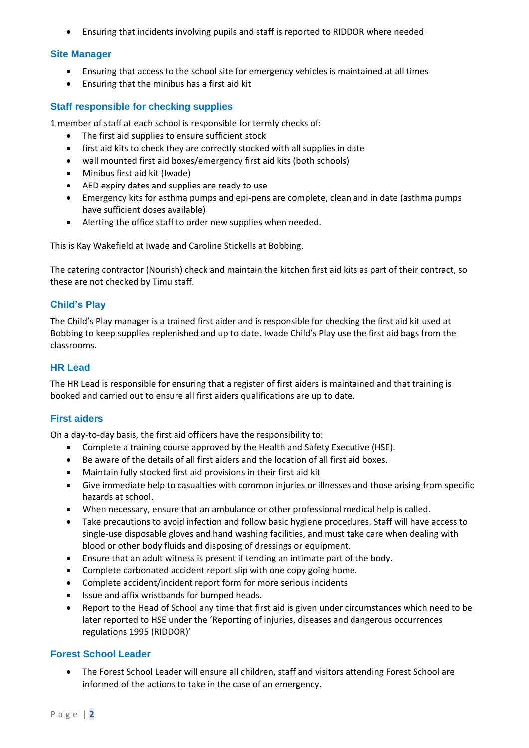• Ensuring that incidents involving pupils and staff is reported to RIDDOR where needed

#### <span id="page-3-0"></span>**Site Manager**

- Ensuring that access to the school site for emergency vehicles is maintained at all times
- Ensuring that the minibus has a first aid kit

## <span id="page-3-1"></span>**Staff responsible for checking supplies**

1 member of staff at each school is responsible for termly checks of:

- The first aid supplies to ensure sufficient stock
- first aid kits to check they are correctly stocked with all supplies in date
- wall mounted first aid boxes/emergency first aid kits (both schools)
- Minibus first aid kit (Iwade)
- AED expiry dates and supplies are ready to use
- Emergency kits for asthma pumps and epi-pens are complete, clean and in date (asthma pumps have sufficient doses available)
- Alerting the office staff to order new supplies when needed.

This is Kay Wakefield at Iwade and Caroline Stickells at Bobbing.

The catering contractor (Nourish) check and maintain the kitchen first aid kits as part of their contract, so these are not checked by Timu staff.

## <span id="page-3-2"></span>**Child's Play**

The Child's Play manager is a trained first aider and is responsible for checking the first aid kit used at Bobbing to keep supplies replenished and up to date. Iwade Child's Play use the first aid bags from the classrooms.

## <span id="page-3-3"></span>**HR Lead**

The HR Lead is responsible for ensuring that a register of first aiders is maintained and that training is booked and carried out to ensure all first aiders qualifications are up to date.

#### <span id="page-3-4"></span>**First aiders**

On a day-to-day basis, the first aid officers have the responsibility to:

- Complete a training course approved by the Health and Safety Executive (HSE).
- Be aware of the details of all first aiders and the location of all first aid boxes.
- Maintain fully stocked first aid provisions in their first aid kit
- Give immediate help to casualties with common injuries or illnesses and those arising from specific hazards at school.
- When necessary, ensure that an ambulance or other professional medical help is called.
- Take precautions to avoid infection and follow basic hygiene procedures. Staff will have access to single-use disposable gloves and hand washing facilities, and must take care when dealing with blood or other body fluids and disposing of dressings or equipment.
- Ensure that an adult witness is present if tending an intimate part of the body.
- Complete carbonated accident report slip with one copy going home.
- Complete accident/incident report form for more serious incidents
- Issue and affix wristbands for bumped heads.
- Report to the Head of School any time that first aid is given under circumstances which need to be later reported to HSE under the 'Reporting of injuries, diseases and dangerous occurrences regulations 1995 (RIDDOR)'

#### <span id="page-3-5"></span>**Forest School Leader**

• The Forest School Leader will ensure all children, staff and visitors attending Forest School are informed of the actions to take in the case of an emergency.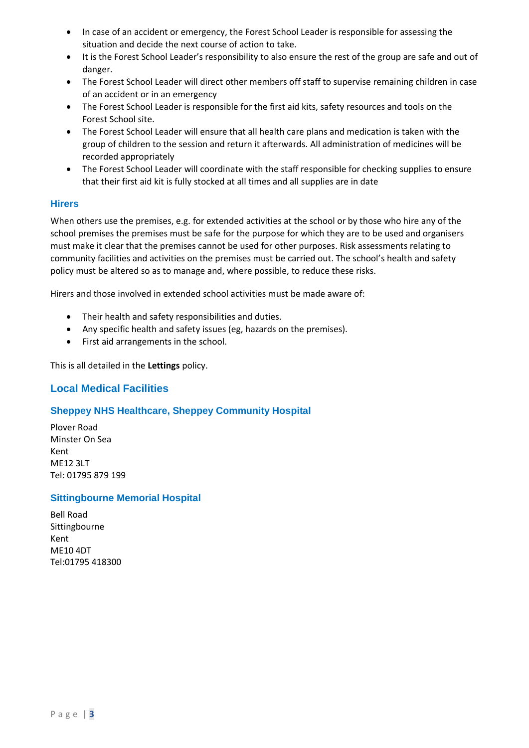- In case of an accident or emergency, the Forest School Leader is responsible for assessing the situation and decide the next course of action to take.
- It is the Forest School Leader's responsibility to also ensure the rest of the group are safe and out of danger.
- The Forest School Leader will direct other members off staff to supervise remaining children in case of an accident or in an emergency
- The Forest School Leader is responsible for the first aid kits, safety resources and tools on the Forest School site.
- The Forest School Leader will ensure that all health care plans and medication is taken with the group of children to the session and return it afterwards. All administration of medicines will be recorded appropriately
- The Forest School Leader will coordinate with the staff responsible for checking supplies to ensure that their first aid kit is fully stocked at all times and all supplies are in date

## <span id="page-4-0"></span>**Hirers**

When others use the premises, e.g. for extended activities at the school or by those who hire any of the school premises the premises must be safe for the purpose for which they are to be used and organisers must make it clear that the premises cannot be used for other purposes. Risk assessments relating to community facilities and activities on the premises must be carried out. The school's health and safety policy must be altered so as to manage and, where possible, to reduce these risks.

Hirers and those involved in extended school activities must be made aware of:

- Their health and safety responsibilities and duties.
- Any specific health and safety issues (eg, hazards on the premises).
- First aid arrangements in the school.

<span id="page-4-1"></span>This is all detailed in the **Lettings** policy.

# **Local Medical Facilities**

# <span id="page-4-2"></span>**Sheppey NHS Healthcare, Sheppey Community Hospital**

Plover Road Minster On Sea Kent ME12 3LT Tel: 01795 879 199

#### <span id="page-4-3"></span>**Sittingbourne Memorial Hospital**

Bell Road Sittingbourne Kent ME10 4DT Tel:01795 418300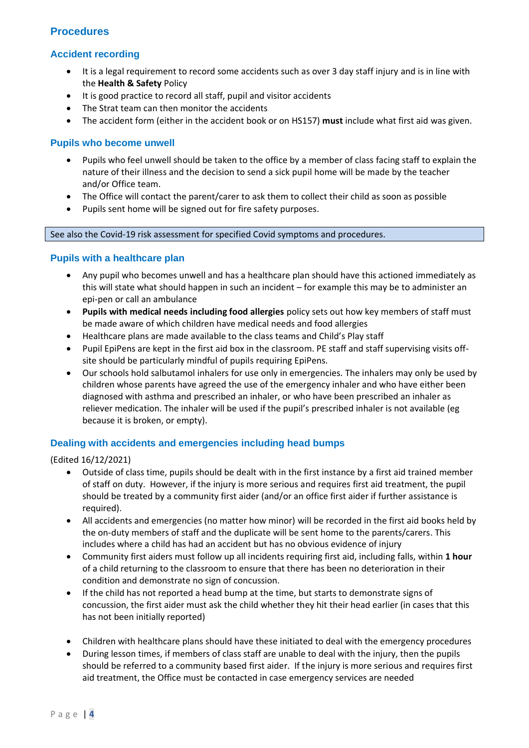# <span id="page-5-0"></span>**Procedures**

# <span id="page-5-1"></span>**Accident recording**

- It is a legal requirement to record some accidents such as over 3 day staff injury and is in line with the **Health & Safety** Policy
- It is good practice to record all staff, pupil and visitor accidents
- The Strat team can then monitor the accidents
- The accident form (either in the accident book or on HS157) **must** include what first aid was given.

## <span id="page-5-2"></span>**Pupils who become unwell**

- Pupils who feel unwell should be taken to the office by a member of class facing staff to explain the nature of their illness and the decision to send a sick pupil home will be made by the teacher and/or Office team.
- The Office will contact the parent/carer to ask them to collect their child as soon as possible
- Pupils sent home will be signed out for fire safety purposes.

#### <span id="page-5-3"></span>See also the Covid-19 risk assessment for specified Covid symptoms and procedures.

## **Pupils with a healthcare plan**

- Any pupil who becomes unwell and has a healthcare plan should have this actioned immediately as this will state what should happen in such an incident – for example this may be to administer an epi-pen or call an ambulance
- **Pupils with medical needs including food allergies** policy sets out how key members of staff must be made aware of which children have medical needs and food allergies
- Healthcare plans are made available to the class teams and Child's Play staff
- Pupil EpiPens are kept in the first aid box in the classroom. PE staff and staff supervising visits offsite should be particularly mindful of pupils requiring EpiPens.
- Our schools hold salbutamol inhalers for use only in emergencies. The inhalers may only be used by children whose parents have agreed the use of the emergency inhaler and who have either been diagnosed with asthma and prescribed an inhaler, or who have been prescribed an inhaler as reliever medication. The inhaler will be used if the pupil's prescribed inhaler is not available (eg because it is broken, or empty).

# <span id="page-5-4"></span>**Dealing with accidents and emergencies including head bumps**

(Edited 16/12/2021)

- Outside of class time, pupils should be dealt with in the first instance by a first aid trained member of staff on duty. However, if the injury is more serious and requires first aid treatment, the pupil should be treated by a community first aider (and/or an office first aider if further assistance is required).
- All accidents and emergencies (no matter how minor) will be recorded in the first aid books held by the on-duty members of staff and the duplicate will be sent home to the parents/carers. This includes where a child has had an accident but has no obvious evidence of injury
- Community first aiders must follow up all incidents requiring first aid, including falls, within **1 hour** of a child returning to the classroom to ensure that there has been no deterioration in their condition and demonstrate no sign of concussion.
- If the child has not reported a head bump at the time, but starts to demonstrate signs of concussion, the first aider must ask the child whether they hit their head earlier (in cases that this has not been initially reported)
- Children with healthcare plans should have these initiated to deal with the emergency procedures
- During lesson times, if members of class staff are unable to deal with the injury, then the pupils should be referred to a community based first aider. If the injury is more serious and requires first aid treatment, the Office must be contacted in case emergency services are needed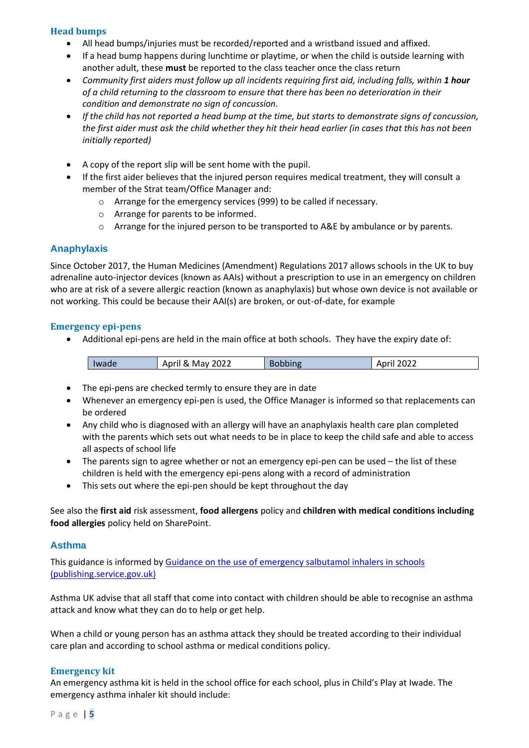#### **Head bumps**

- All head bumps/injuries must be recorded/reported and a wristband issued and affixed.
- If a head bump happens during lunchtime or playtime, or when the child is outside learning with another adult, these **must** be reported to the class teacher once the class return
- *Community first aiders must follow up all incidents requiring first aid, including falls, within 1 hour of a child returning to the classroom to ensure that there has been no deterioration in their condition and demonstrate no sign of concussion.*
- *If the child has not reported a head bump at the time, but starts to demonstrate signs of concussion, the first aider must ask the child whether they hit their head earlier (in cases that this has not been initially reported)*
- A copy of the report slip will be sent home with the pupil.
- If the first aider believes that the injured person requires medical treatment, they will consult a member of the Strat team/Office Manager and:
	- o Arrange for the emergency services (999) to be called if necessary.
	- o Arrange for parents to be informed.
	- o Arrange for the injured person to be transported to A&E by ambulance or by parents.

## <span id="page-6-0"></span>**Anaphylaxis**

Since October 2017, the Human Medicines (Amendment) Regulations 2017 allows schools in the UK to buy adrenaline auto-injector devices (known as AAIs) without a prescription to use in an emergency on children who are at risk of a severe allergic reaction (known as anaphylaxis) but whose own device is not available or not working. This could be because their AAI(s) are broken, or out-of-date, for example

#### <span id="page-6-1"></span>**Emergency epi-pens**

• Additional epi-pens are held in the main office at both schools. They have the expiry date of:

| $\sim$ $\sim$ $\sim$<br>≏ר∩נ<br>Δnrıl<br>'022<br>Mav<br>Iwade<br>.<br>™ ADI…<br>∝<br>.uzz<br>ᇺ<br>. |
|-----------------------------------------------------------------------------------------------------|
|-----------------------------------------------------------------------------------------------------|

- The epi-pens are checked termly to ensure they are in date
- Whenever an emergency epi-pen is used, the Office Manager is informed so that replacements can be ordered
- Any child who is diagnosed with an allergy will have an anaphylaxis health care plan completed with the parents which sets out what needs to be in place to keep the child safe and able to access all aspects of school life
- The parents sign to agree whether or not an emergency epi-pen can be used the list of these children is held with the emergency epi-pens along with a record of administration
- This sets out where the epi-pen should be kept throughout the day

See also the **first aid** risk assessment, **food allergens** policy and **children with medical conditions including food allergies** policy held on SharePoint.

#### <span id="page-6-2"></span>**Asthma**

This guidance is informed by Guidance on the use of emergency salbutamol inhalers in schools [\(publishing.service.gov.uk\)](https://assets.publishing.service.gov.uk/government/uploads/system/uploads/attachment_data/file/416468/emergency_inhalers_in_schools.pdf)

Asthma UK advise that all staff that come into contact with children should be able to recognise an asthma attack and know what they can do to help or get help.

When a child or young person has an asthma attack they should be treated according to their individual care plan and according to school asthma or medical conditions policy.

#### <span id="page-6-3"></span>**Emergency kit**

An emergency asthma kit is held in the school office for each school, plus in Child's Play at Iwade. The emergency asthma inhaler kit should include: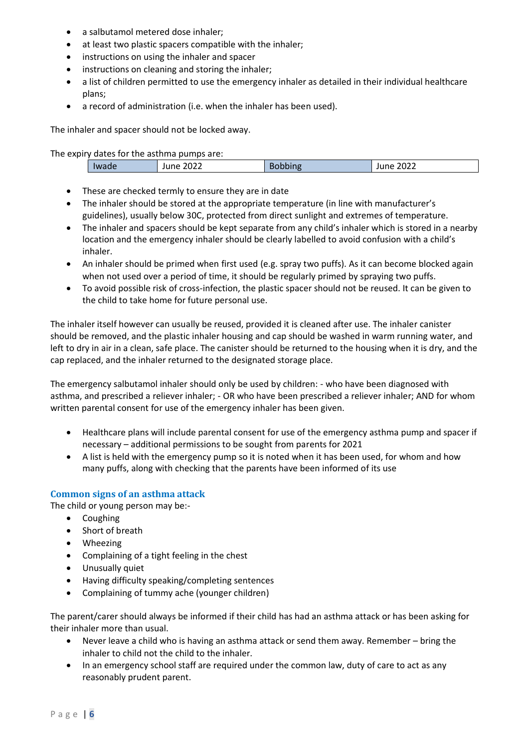- a salbutamol metered dose inhaler;
- at least two plastic spacers compatible with the inhaler;
- instructions on using the inhaler and spacer
- instructions on cleaning and storing the inhaler;
- a list of children permitted to use the emergency inhaler as detailed in their individual healthcare plans;
- a record of administration (i.e. when the inhaler has been used).

The inhaler and spacer should not be locked away.

The expiry dates for the asthma pumps are:

| . C Chpiry adtes for the documa partips are: |                  |  |                  |  |
|----------------------------------------------|------------------|--|------------------|--|
| Iwade                                        | <b>June 2022</b> |  | <b>June 2022</b> |  |
|                                              |                  |  |                  |  |

- These are checked termly to ensure they are in date
- The inhaler should be stored at the appropriate temperature (in line with manufacturer's guidelines), usually below 30C, protected from direct sunlight and extremes of temperature.
- The inhaler and spacers should be kept separate from any child's inhaler which is stored in a nearby location and the emergency inhaler should be clearly labelled to avoid confusion with a child's inhaler.
- An inhaler should be primed when first used (e.g. spray two puffs). As it can become blocked again when not used over a period of time, it should be regularly primed by spraying two puffs.
- To avoid possible risk of cross-infection, the plastic spacer should not be reused. It can be given to the child to take home for future personal use.

The inhaler itself however can usually be reused, provided it is cleaned after use. The inhaler canister should be removed, and the plastic inhaler housing and cap should be washed in warm running water, and left to dry in air in a clean, safe place. The canister should be returned to the housing when it is dry, and the cap replaced, and the inhaler returned to the designated storage place.

The emergency salbutamol inhaler should only be used by children: - who have been diagnosed with asthma, and prescribed a reliever inhaler; - OR who have been prescribed a reliever inhaler; AND for whom written parental consent for use of the emergency inhaler has been given.

- Healthcare plans will include parental consent for use of the emergency asthma pump and spacer if necessary – additional permissions to be sought from parents for 2021
- A list is held with the emergency pump so it is noted when it has been used, for whom and how many puffs, along with checking that the parents have been informed of its use

# <span id="page-7-0"></span>**Common signs of an asthma attack**

The child or young person may be:-

- Coughing
- Short of breath
- Wheezing
- Complaining of a tight feeling in the chest
- Unusually quiet
- Having difficulty speaking/completing sentences
- Complaining of tummy ache (younger children)

The parent/carer should always be informed if their child has had an asthma attack or has been asking for their inhaler more than usual.

- Never leave a child who is having an asthma attack or send them away. Remember bring the inhaler to child not the child to the inhaler.
- In an emergency school staff are required under the common law, duty of care to act as any reasonably prudent parent.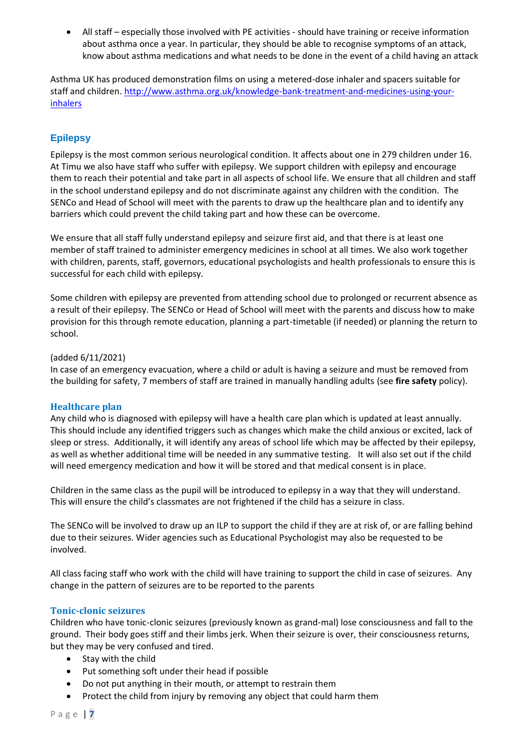• All staff – especially those involved with PE activities - should have training or receive information about asthma once a year. In particular, they should be able to recognise symptoms of an attack, know about asthma medications and what needs to be done in the event of a child having an attack

Asthma UK has produced demonstration films on using a metered-dose inhaler and spacers suitable for staff and children. [http://www.asthma.org.uk/knowledge-bank-treatment-and-medicines-using-your](http://www.asthma.org.uk/knowledge-bank-treatment-and-medicines-using-your-inhalers)[inhalers](http://www.asthma.org.uk/knowledge-bank-treatment-and-medicines-using-your-inhalers)

# <span id="page-8-0"></span>**Epilepsy**

Epilepsy is the most common serious neurological condition. It affects about one in 279 children under 16. At Timu we also have staff who suffer with epilepsy. We support children with epilepsy and encourage them to reach their potential and take part in all aspects of school life. We ensure that all children and staff in the school understand epilepsy and do not discriminate against any children with the condition. The SENCo and Head of School will meet with the parents to draw up the healthcare plan and to identify any barriers which could prevent the child taking part and how these can be overcome.

We ensure that all staff fully understand epilepsy and seizure first aid, and that there is at least one member of staff trained to administer emergency medicines in school at all times. We also work together with children, parents, staff, governors, educational psychologists and health professionals to ensure this is successful for each child with epilepsy.

Some children with epilepsy are prevented from attending school due to prolonged or recurrent absence as a result of their epilepsy. The SENCo or Head of School will meet with the parents and discuss how to make provision for this through remote education, planning a part-timetable (if needed) or planning the return to school.

#### (added 6/11/2021)

In case of an emergency evacuation, where a child or adult is having a seizure and must be removed from the building for safety, 7 members of staff are trained in manually handling adults (see **fire safety** policy).

# <span id="page-8-1"></span>**Healthcare plan**

Any child who is diagnosed with epilepsy will have a health care plan which is updated at least annually. This should include any identified triggers such as changes which make the child anxious or excited, lack of sleep or stress. Additionally, it will identify any areas of school life which may be affected by their epilepsy, as well as whether additional time will be needed in any summative testing. It will also set out if the child will need emergency medication and how it will be stored and that medical consent is in place.

Children in the same class as the pupil will be introduced to epilepsy in a way that they will understand. This will ensure the child's classmates are not frightened if the child has a seizure in class.

The SENCo will be involved to draw up an ILP to support the child if they are at risk of, or are falling behind due to their seizures. Wider agencies such as Educational Psychologist may also be requested to be involved.

All class facing staff who work with the child will have training to support the child in case of seizures. Any change in the pattern of seizures are to be reported to the parents

#### <span id="page-8-2"></span>**Tonic-clonic seizures**

Children who have tonic-clonic seizures (previously known as grand-mal) lose consciousness and fall to the ground. Their body goes stiff and their limbs jerk. When their seizure is over, their consciousness returns, but they may be very confused and tired.

- Stay with the child
- Put something soft under their head if possible
- Do not put anything in their mouth, or attempt to restrain them
- Protect the child from injury by removing any object that could harm them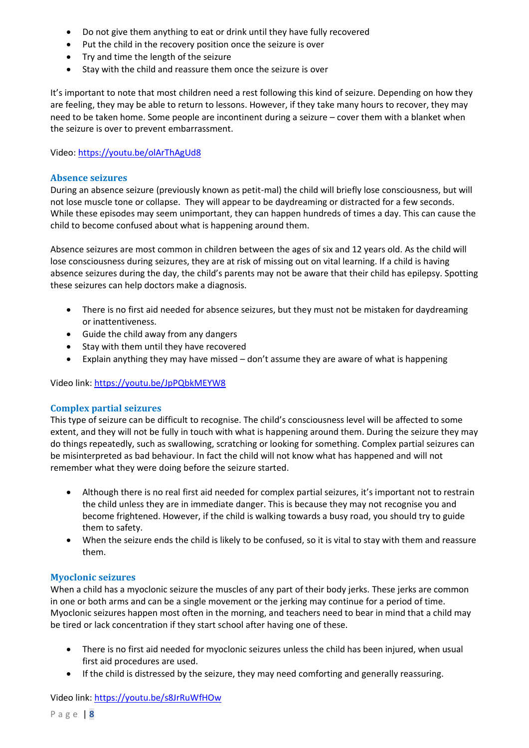- Do not give them anything to eat or drink until they have fully recovered
- Put the child in the recovery position once the seizure is over
- Try and time the length of the seizure
- Stay with the child and reassure them once the seizure is over

It's important to note that most children need a rest following this kind of seizure. Depending on how they are feeling, they may be able to return to lessons. However, if they take many hours to recover, they may need to be taken home. Some people are incontinent during a seizure – cover them with a blanket when the seizure is over to prevent embarrassment.

Video:<https://youtu.be/olArThAgUd8>

## <span id="page-9-0"></span>**Absence seizures**

During an absence seizure (previously known as petit-mal) the child will briefly lose consciousness, but will not lose muscle tone or collapse. They will appear to be daydreaming or distracted for a few seconds. While these episodes may seem unimportant, they can happen hundreds of times a day. This can cause the child to become confused about what is happening around them.

Absence seizures are most common in children between the ages of six and 12 years old. As the child will lose consciousness during seizures, they are at risk of missing out on vital learning. If a child is having absence seizures during the day, the child's parents may not be aware that their child has epilepsy. Spotting these seizures can help doctors make a diagnosis.

- There is no first aid needed for absence seizures, but they must not be mistaken for daydreaming or inattentiveness.
- Guide the child away from any dangers
- Stay with them until they have recovered
- Explain anything they may have missed don't assume they are aware of what is happening

Video link:<https://youtu.be/JpPQbkMEYW8>

#### <span id="page-9-1"></span>**Complex partial seizures**

This type of seizure can be difficult to recognise. The child's consciousness level will be affected to some extent, and they will not be fully in touch with what is happening around them. During the seizure they may do things repeatedly, such as swallowing, scratching or looking for something. Complex partial seizures can be misinterpreted as bad behaviour. In fact the child will not know what has happened and will not remember what they were doing before the seizure started.

- Although there is no real first aid needed for complex partial seizures, it's important not to restrain the child unless they are in immediate danger. This is because they may not recognise you and become frightened. However, if the child is walking towards a busy road, you should try to guide them to safety.
- When the seizure ends the child is likely to be confused, so it is vital to stay with them and reassure them.

# <span id="page-9-2"></span>**Myoclonic seizures**

When a child has a myoclonic seizure the muscles of any part of their body jerks. These jerks are common in one or both arms and can be a single movement or the jerking may continue for a period of time. Myoclonic seizures happen most often in the morning, and teachers need to bear in mind that a child may be tired or lack concentration if they start school after having one of these.

- There is no first aid needed for myoclonic seizures unless the child has been injured, when usual first aid procedures are used.
- If the child is distressed by the seizure, they may need comforting and generally reassuring.

#### Video link:<https://youtu.be/s8JrRuWfHOw>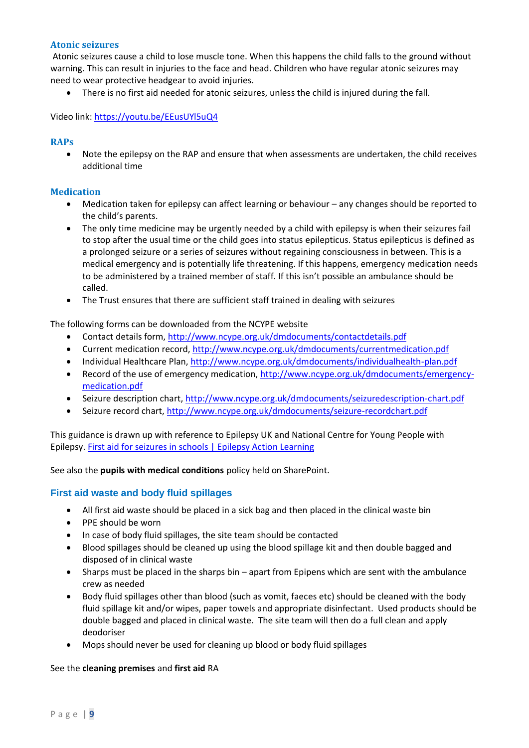#### <span id="page-10-0"></span>**Atonic seizures**

Atonic seizures cause a child to lose muscle tone. When this happens the child falls to the ground without warning. This can result in injuries to the face and head. Children who have regular atonic seizures may need to wear protective headgear to avoid injuries.

• There is no first aid needed for atonic seizures, unless the child is injured during the fall.

Video link:<https://youtu.be/EEusUYl5uQ4>

#### <span id="page-10-1"></span>**RAPs**

• Note the epilepsy on the RAP and ensure that when assessments are undertaken, the child receives additional time

#### <span id="page-10-2"></span>**Medication**

- Medication taken for epilepsy can affect learning or behaviour any changes should be reported to the child's parents.
- The only time medicine may be urgently needed by a child with epilepsy is when their seizures fail to stop after the usual time or the child goes into status epilepticus. Status epilepticus is defined as a prolonged seizure or a series of seizures without regaining consciousness in between. This is a medical emergency and is potentially life threatening. If this happens, emergency medication needs to be administered by a trained member of staff. If this isn't possible an ambulance should be called.
- The Trust ensures that there are sufficient staff trained in dealing with seizures

The following forms can be downloaded from the NCYPE website

- Contact details form,<http://www.ncype.org.uk/dmdocuments/contactdetails.pdf>
- Current medication record,<http://www.ncype.org.uk/dmdocuments/currentmedication.pdf>
- Individual Healthcare Plan[, http://www.ncype.org.uk/dmdocuments/individualhealth-plan.pdf](http://www.ncype.org.uk/dmdocuments/individualhealth-plan.pdf)
- Record of the use of emergency medication, [http://www.ncype.org.uk/dmdocuments/emergency](http://www.ncype.org.uk/dmdocuments/emergency-medication.pdf)[medication.pdf](http://www.ncype.org.uk/dmdocuments/emergency-medication.pdf)
- Seizure description chart[, http://www.ncype.org.uk/dmdocuments/seizuredescription-chart.pdf](http://www.ncype.org.uk/dmdocuments/seizuredescription-chart.pdf)
- Seizure record chart,<http://www.ncype.org.uk/dmdocuments/seizure-recordchart.pdf>

This guidance is drawn up with reference to Epilepsy UK and National Centre for Young People with Epilepsy. [First aid for seizures in schools | Epilepsy Action Learning](https://learn.epilepsy.org.uk/first-aid-for-seizures-in-schools/)

See also the **pupils with medical conditions** policy held on SharePoint.

# <span id="page-10-3"></span>**First aid waste and body fluid spillages**

- All first aid waste should be placed in a sick bag and then placed in the clinical waste bin
- PPE should be worn
- In case of body fluid spillages, the site team should be contacted
- Blood spillages should be cleaned up using the blood spillage kit and then double bagged and disposed of in clinical waste
- Sharps must be placed in the sharps bin apart from Epipens which are sent with the ambulance crew as needed
- Body fluid spillages other than blood (such as vomit, faeces etc) should be cleaned with the body fluid spillage kit and/or wipes, paper towels and appropriate disinfectant. Used products should be double bagged and placed in clinical waste. The site team will then do a full clean and apply deodoriser
- Mops should never be used for cleaning up blood or body fluid spillages

#### See the **cleaning premises** and **first aid** RA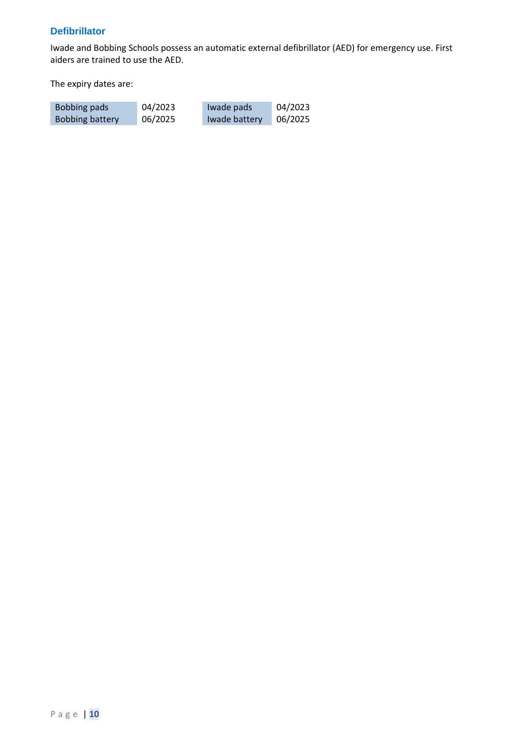## <span id="page-11-0"></span>**Defibrillator**

Iwade and Bobbing Schools possess an automatic external defibrillator (AED) for emergency use. First aiders are trained to use the AED.

The expiry dates are:

| Bobbing pads    | 04/2023 | Iwade pads    | 04/2023 |
|-----------------|---------|---------------|---------|
| Bobbing battery | 06/2025 | Iwade battery | 06/2025 |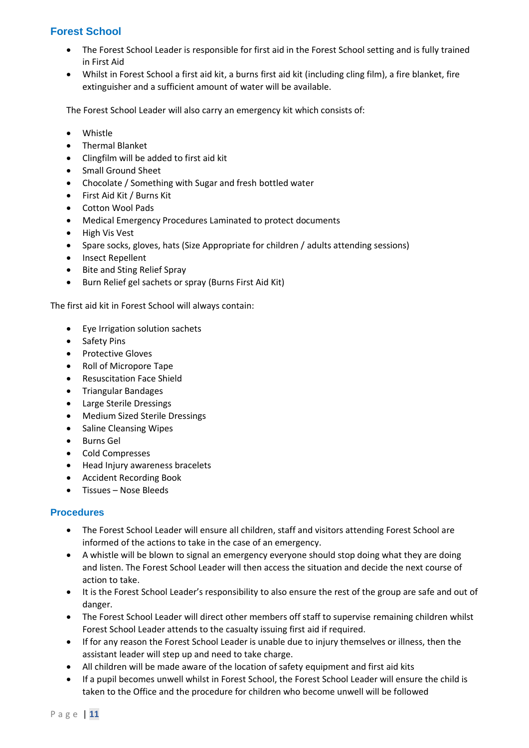# <span id="page-12-0"></span>**Forest School**

- The Forest School Leader is responsible for first aid in the Forest School setting and is fully trained in First Aid
- Whilst in Forest School a first aid kit, a burns first aid kit (including cling film), a fire blanket, fire extinguisher and a sufficient amount of water will be available.

The Forest School Leader will also carry an emergency kit which consists of:

- Whistle
- Thermal Blanket
- Clingfilm will be added to first aid kit
- Small Ground Sheet
- Chocolate / Something with Sugar and fresh bottled water
- First Aid Kit / Burns Kit
- Cotton Wool Pads
- Medical Emergency Procedures Laminated to protect documents
- High Vis Vest
- Spare socks, gloves, hats (Size Appropriate for children / adults attending sessions)
- Insect Repellent
- Bite and Sting Relief Spray
- Burn Relief gel sachets or spray (Burns First Aid Kit)

The first aid kit in Forest School will always contain:

- Eye Irrigation solution sachets
- Safety Pins
- Protective Gloves
- Roll of Micropore Tape
- Resuscitation Face Shield
- Triangular Bandages
- Large Sterile Dressings
- Medium Sized Sterile Dressings
- Saline Cleansing Wipes
- Burns Gel
- Cold Compresses
- Head Injury awareness bracelets
- Accident Recording Book
- Tissues Nose Bleeds

#### <span id="page-12-1"></span>**Procedures**

- The Forest School Leader will ensure all children, staff and visitors attending Forest School are informed of the actions to take in the case of an emergency.
- A whistle will be blown to signal an emergency everyone should stop doing what they are doing and listen. The Forest School Leader will then access the situation and decide the next course of action to take.
- It is the Forest School Leader's responsibility to also ensure the rest of the group are safe and out of danger.
- The Forest School Leader will direct other members off staff to supervise remaining children whilst Forest School Leader attends to the casualty issuing first aid if required.
- If for any reason the Forest School Leader is unable due to injury themselves or illness, then the assistant leader will step up and need to take charge.
- All children will be made aware of the location of safety equipment and first aid kits
- If a pupil becomes unwell whilst in Forest School, the Forest School Leader will ensure the child is taken to the Office and the procedure for children who become unwell will be followed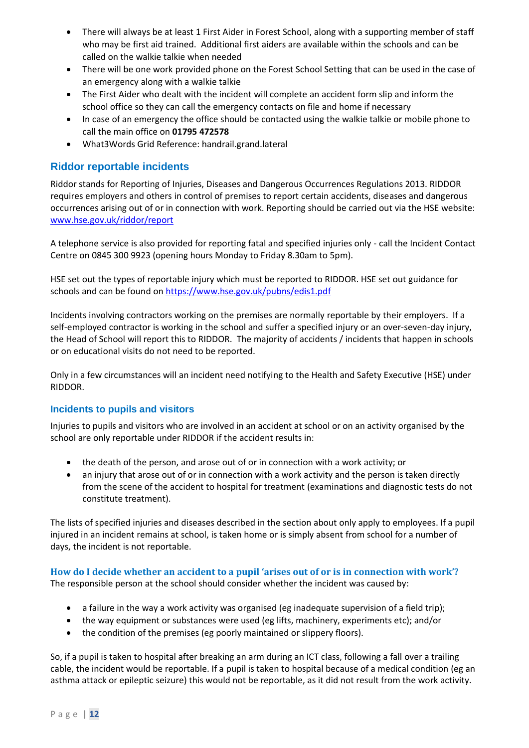- There will always be at least 1 First Aider in Forest School, along with a supporting member of staff who may be first aid trained. Additional first aiders are available within the schools and can be called on the walkie talkie when needed
- There will be one work provided phone on the Forest School Setting that can be used in the case of an emergency along with a walkie talkie
- The First Aider who dealt with the incident will complete an accident form slip and inform the school office so they can call the emergency contacts on file and home if necessary
- In case of an emergency the office should be contacted using the walkie talkie or mobile phone to call the main office on **01795 472578**
- What3Words Grid Reference: handrail.grand.lateral

# <span id="page-13-0"></span>**Riddor reportable incidents**

Riddor stands for Reporting of Injuries, Diseases and Dangerous Occurrences Regulations 2013. RIDDOR requires employers and others in control of premises to report certain accidents, diseases and dangerous occurrences arising out of or in connection with work. Reporting should be carried out via the HSE website: [www.hse.gov.uk/riddor/report](http://www.hse.gov.uk/riddor/report)

A telephone service is also provided for reporting fatal and specified injuries only - call the Incident Contact Centre on 0845 300 9923 (opening hours Monday to Friday 8.30am to 5pm).

HSE set out the types of reportable injury which must be reported to RIDDOR. HSE set out guidance for schools and can be found o[n https://www.hse.gov.uk/pubns/edis1.pdf](https://www.hse.gov.uk/pubns/edis1.pdf)

Incidents involving contractors working on the premises are normally reportable by their employers. If a self-employed contractor is working in the school and suffer a specified injury or an over-seven-day injury, the Head of School will report this to RIDDOR. The majority of accidents / incidents that happen in schools or on educational visits do not need to be reported.

Only in a few circumstances will an incident need notifying to the Health and Safety Executive (HSE) under RIDDOR.

#### <span id="page-13-1"></span>**Incidents to pupils and visitors**

Injuries to pupils and visitors who are involved in an accident at school or on an activity organised by the school are only reportable under RIDDOR if the accident results in:

- the death of the person, and arose out of or in connection with a work activity; or
- an injury that arose out of or in connection with a work activity and the person is taken directly from the scene of the accident to hospital for treatment (examinations and diagnostic tests do not constitute treatment).

The lists of specified injuries and diseases described in the section about only apply to employees. If a pupil injured in an incident remains at school, is taken home or is simply absent from school for a number of days, the incident is not reportable.

<span id="page-13-2"></span>**How do I decide whether an accident to a pupil 'arises out of or is in connection with work'?** The responsible person at the school should consider whether the incident was caused by:

- a failure in the way a work activity was organised (eg inadequate supervision of a field trip);
- the way equipment or substances were used (eg lifts, machinery, experiments etc); and/or
- the condition of the premises (eg poorly maintained or slippery floors).

So, if a pupil is taken to hospital after breaking an arm during an ICT class, following a fall over a trailing cable, the incident would be reportable. If a pupil is taken to hospital because of a medical condition (eg an asthma attack or epileptic seizure) this would not be reportable, as it did not result from the work activity.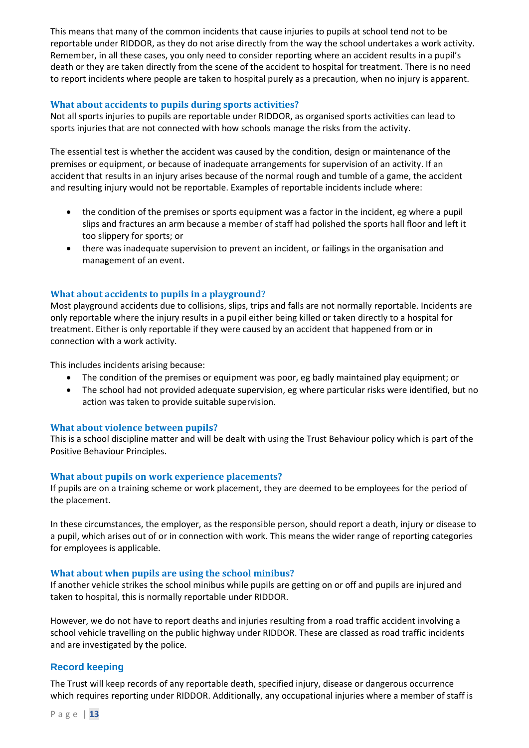This means that many of the common incidents that cause injuries to pupils at school tend not to be reportable under RIDDOR, as they do not arise directly from the way the school undertakes a work activity. Remember, in all these cases, you only need to consider reporting where an accident results in a pupil's death or they are taken directly from the scene of the accident to hospital for treatment. There is no need to report incidents where people are taken to hospital purely as a precaution, when no injury is apparent.

## <span id="page-14-0"></span>**What about accidents to pupils during sports activities?**

Not all sports injuries to pupils are reportable under RIDDOR, as organised sports activities can lead to sports injuries that are not connected with how schools manage the risks from the activity.

The essential test is whether the accident was caused by the condition, design or maintenance of the premises or equipment, or because of inadequate arrangements for supervision of an activity. If an accident that results in an injury arises because of the normal rough and tumble of a game, the accident and resulting injury would not be reportable. Examples of reportable incidents include where:

- the condition of the premises or sports equipment was a factor in the incident, eg where a pupil slips and fractures an arm because a member of staff had polished the sports hall floor and left it too slippery for sports; or
- there was inadequate supervision to prevent an incident, or failings in the organisation and management of an event.

## <span id="page-14-1"></span>**What about accidents to pupils in a playground?**

Most playground accidents due to collisions, slips, trips and falls are not normally reportable. Incidents are only reportable where the injury results in a pupil either being killed or taken directly to a hospital for treatment. Either is only reportable if they were caused by an accident that happened from or in connection with a work activity.

This includes incidents arising because:

- The condition of the premises or equipment was poor, eg badly maintained play equipment; or
- The school had not provided adequate supervision, eg where particular risks were identified, but no action was taken to provide suitable supervision.

#### <span id="page-14-2"></span>**What about violence between pupils?**

This is a school discipline matter and will be dealt with using the Trust Behaviour policy which is part of the Positive Behaviour Principles.

#### <span id="page-14-3"></span>**What about pupils on work experience placements?**

If pupils are on a training scheme or work placement, they are deemed to be employees for the period of the placement.

In these circumstances, the employer, as the responsible person, should report a death, injury or disease to a pupil, which arises out of or in connection with work. This means the wider range of reporting categories for employees is applicable.

#### <span id="page-14-4"></span>**What about when pupils are using the school minibus?**

If another vehicle strikes the school minibus while pupils are getting on or off and pupils are injured and taken to hospital, this is normally reportable under RIDDOR.

However, we do not have to report deaths and injuries resulting from a road traffic accident involving a school vehicle travelling on the public highway under RIDDOR. These are classed as road traffic incidents and are investigated by the police.

#### <span id="page-14-5"></span>**Record keeping**

The Trust will keep records of any reportable death, specified injury, disease or dangerous occurrence which requires reporting under RIDDOR. Additionally, any occupational injuries where a member of staff is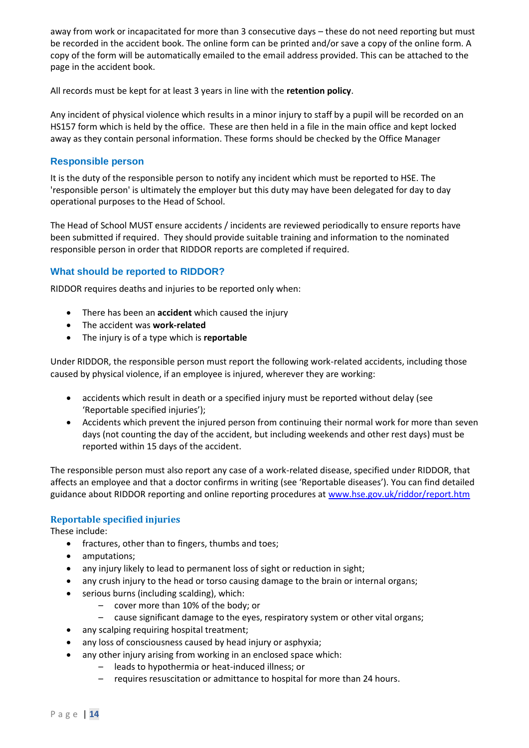away from work or incapacitated for more than 3 consecutive days – these do not need reporting but must be recorded in the accident book. The online form can be printed and/or save a copy of the online form. A copy of the form will be automatically emailed to the email address provided. This can be attached to the page in the accident book.

All records must be kept for at least 3 years in line with the **retention policy**.

Any incident of physical violence which results in a minor injury to staff by a pupil will be recorded on an HS157 form which is held by the office. These are then held in a file in the main office and kept locked away as they contain personal information. These forms should be checked by the Office Manager

## <span id="page-15-0"></span>**Responsible person**

It is the duty of the responsible person to notify any incident which must be reported to HSE. The 'responsible person' is ultimately the employer but this duty may have been delegated for day to day operational purposes to the Head of School.

The Head of School MUST ensure accidents / incidents are reviewed periodically to ensure reports have been submitted if required. They should provide suitable training and information to the nominated responsible person in order that RIDDOR reports are completed if required.

# <span id="page-15-1"></span>**What should be reported to RIDDOR?**

RIDDOR requires deaths and injuries to be reported only when:

- There has been an **accident** which caused the injury
- The accident was **work-related**
- The injury is of a type which is **reportable**

Under RIDDOR, the responsible person must report the following work-related accidents, including those caused by physical violence, if an employee is injured, wherever they are working:

- accidents which result in death or a specified injury must be reported without delay (see 'Reportable specified injuries');
- Accidents which prevent the injured person from continuing their normal work for more than seven days (not counting the day of the accident, but including weekends and other rest days) must be reported within 15 days of the accident.

The responsible person must also report any case of a work-related disease, specified under RIDDOR, that affects an employee and that a doctor confirms in writing (see 'Reportable diseases'). You can find detailed guidance about RIDDOR reporting and online reporting procedures at [www.hse.gov.uk/riddor/report.htm](http://www.hse.gov.uk/riddor/report.htm)

# <span id="page-15-2"></span>**Reportable specified injuries**

These include:

- fractures, other than to fingers, thumbs and toes;
- amputations;
- any injury likely to lead to permanent loss of sight or reduction in sight;
- any crush injury to the head or torso causing damage to the brain or internal organs;
- serious burns (including scalding), which:
	- cover more than 10% of the body; or
	- cause significant damage to the eyes, respiratory system or other vital organs;
- any scalping requiring hospital treatment;
- any loss of consciousness caused by head injury or asphyxia;
- any other injury arising from working in an enclosed space which:
	- leads to hypothermia or heat-induced illness; or
	- requires resuscitation or admittance to hospital for more than 24 hours.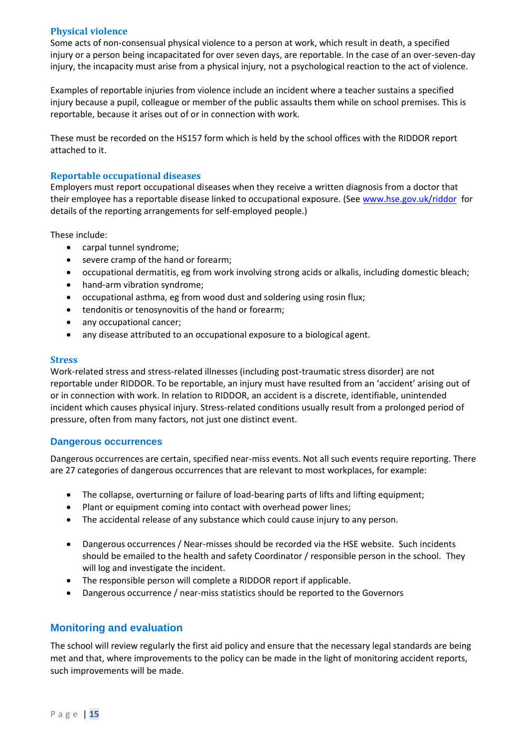#### <span id="page-16-0"></span>**Physical violence**

Some acts of non-consensual physical violence to a person at work, which result in death, a specified injury or a person being incapacitated for over seven days, are reportable. In the case of an over-seven-day injury, the incapacity must arise from a physical injury, not a psychological reaction to the act of violence.

Examples of reportable injuries from violence include an incident where a teacher sustains a specified injury because a pupil, colleague or member of the public assaults them while on school premises. This is reportable, because it arises out of or in connection with work.

These must be recorded on the HS157 form which is held by the school offices with the RIDDOR report attached to it.

#### <span id="page-16-1"></span>**Reportable occupational diseases**

Employers must report occupational diseases when they receive a written diagnosis from a doctor that their employee has a reportable disease linked to occupational exposure. (See [www.hse.gov.uk/riddor](http://www.hse.gov.uk/riddor) for details of the reporting arrangements for self-employed people.)

These include:

- carpal tunnel syndrome;
- severe cramp of the hand or forearm;
- occupational dermatitis, eg from work involving strong acids or alkalis, including domestic bleach;
- hand-arm vibration syndrome;
- occupational asthma, eg from wood dust and soldering using rosin flux;
- tendonitis or tenosynovitis of the hand or forearm;
- any occupational cancer;
- any disease attributed to an occupational exposure to a biological agent.

#### <span id="page-16-2"></span>**Stress**

Work-related stress and stress-related illnesses (including post-traumatic stress disorder) are not reportable under RIDDOR. To be reportable, an injury must have resulted from an 'accident' arising out of or in connection with work. In relation to RIDDOR, an accident is a discrete, identifiable, unintended incident which causes physical injury. Stress-related conditions usually result from a prolonged period of pressure, often from many factors, not just one distinct event.

#### <span id="page-16-3"></span>**Dangerous occurrences**

Dangerous occurrences are certain, specified near-miss events. Not all such events require reporting. There are 27 categories of dangerous occurrences that are relevant to most workplaces, for example:

- The collapse, overturning or failure of load-bearing parts of lifts and lifting equipment;
- Plant or equipment coming into contact with overhead power lines;
- The accidental release of any substance which could cause injury to any person.
- Dangerous occurrences / Near-misses should be recorded via the HSE website. Such incidents should be emailed to the health and safety Coordinator / responsible person in the school. They will log and investigate the incident.
- The responsible person will complete a RIDDOR report if applicable.
- Dangerous occurrence / near-miss statistics should be reported to the Governors

# <span id="page-16-4"></span>**Monitoring and evaluation**

The school will review regularly the first aid policy and ensure that the necessary legal standards are being met and that, where improvements to the policy can be made in the light of monitoring accident reports, such improvements will be made.